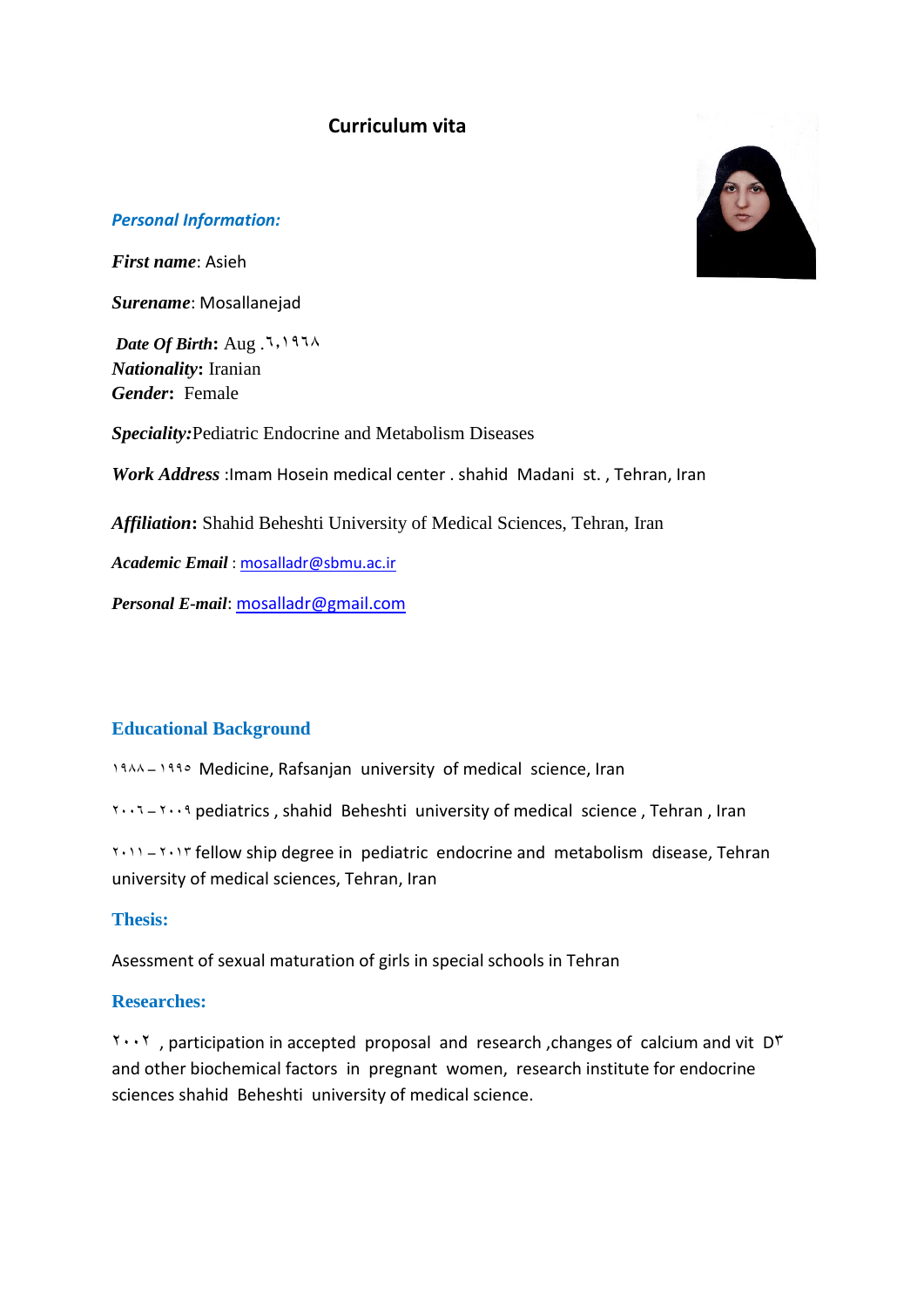# **Curriculum vita**



#### *Personal Information:*

*First name*: Asieh

*Surename*: Mosallanejad

*Date Of Birth*: Aug.  $7,1971$ *Nationality***:** Iranian *Gender***:** Female

*Speciality:*Pediatric Endocrine and Metabolism Diseases

*Work Address* :Imam Hosein medical center . shahid Madani st. , Tehran, Iran

*Affiliation***:** Shahid Beheshti University of Medical Sciences, Tehran, Iran

*Academic Email* : [mosalladr@sbmu.ac.ir](mailto:mosalladr@sbmu.ac.ir)

*Personal E-mail*: [mosalladr@gmail.com](mailto:mosalladr@gmail.com)

### **Educational Background**

1944 – 1990 Medicine, Rafsanjan university of medical science, Iran

 $50002 - 6008$  pediatrics, shahid Beheshti university of medical science, Tehran, Iran

 $5008 - 5008$  fellow ship degree in pediatric endocrine and metabolism disease, Tehran university of medical sciences, Tehran, Iran

#### **Thesis:**

Asessment of sexual maturation of girls in special schools in Tehran

### **Researches:**

 $500$ , participation in accepted proposal and research , changes of calcium and vit D<sup>T</sup> and other biochemical factors in pregnant women, research institute for endocrine sciences shahid Beheshti university of medical science.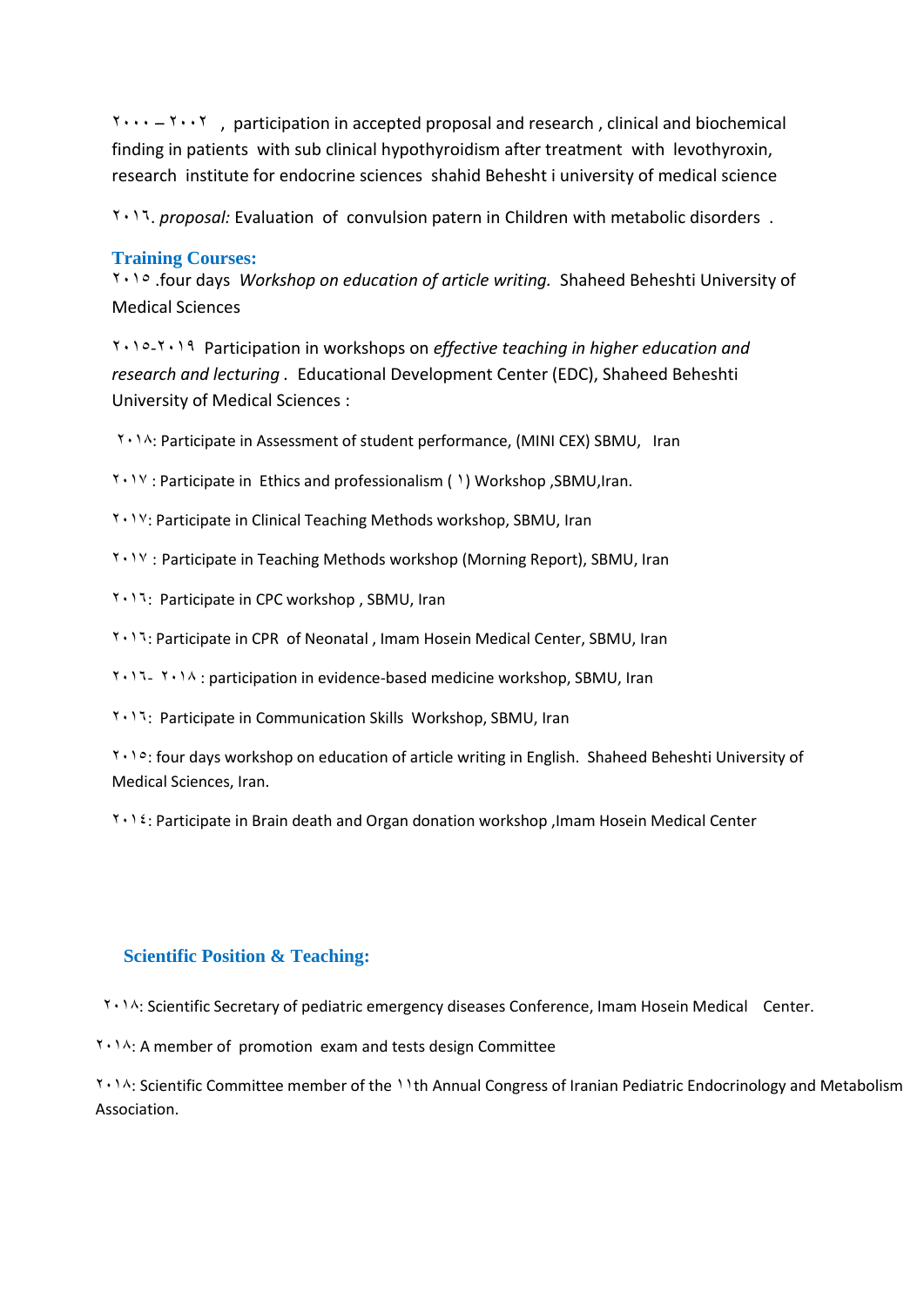$5000 - 6000$ , participation in accepted proposal and research, clinical and biochemical finding in patients with sub clinical hypothyroidism after treatment with levothyroxin, research institute for endocrine sciences shahid Behesht i university of medical science

6082. *proposal:* Evaluation of convulsion patern in Children with metabolic disorders .

#### **Training Courses:**

6081 .four days *Workshop on education of article writing.* Shaheed Beheshti University of Medical Sciences

6081-6088 Participation in workshops on *effective teaching in higher education and research and lecturing .* Educational Development Center (EDC), Shaheed Beheshti University of Medical Sciences :

6081: Participate in Assessment of student performance, (MINI CEX) SBMU, Iran

6082 : Participate in Ethics and professionalism ( 8) Workshop ,SBMU,Iran.

6082: Participate in Clinical Teaching Methods workshop, SBMU, Iran

6082 : Participate in Teaching Methods workshop (Morning Report), SBMU, Iran

6082: Participate in CPC workshop , SBMU, Iran

6082: Participate in CPR of Neonatal , Imam Hosein Medical Center, SBMU, Iran

6082- 6081 : participation in evidence-based medicine workshop, SBMU, Iran

6082: Participate in Communication Skills Workshop, SBMU, Iran

6081: four days workshop on education of article writing in English. Shaheed Beheshti University of Medical Sciences, Iran.

6082: Participate in Brain death and Organ donation workshop ,Imam Hosein Medical Center

#### **Scientific Position & Teaching:**

6081: Scientific Secretary of pediatric emergency diseases Conference, Imam Hosein Medical Center.

6081: A member of promotion exam and tests design Committee

1.1. Scientific Committee member of the 11th Annual Congress of Iranian Pediatric Endocrinology and Metabolism Association.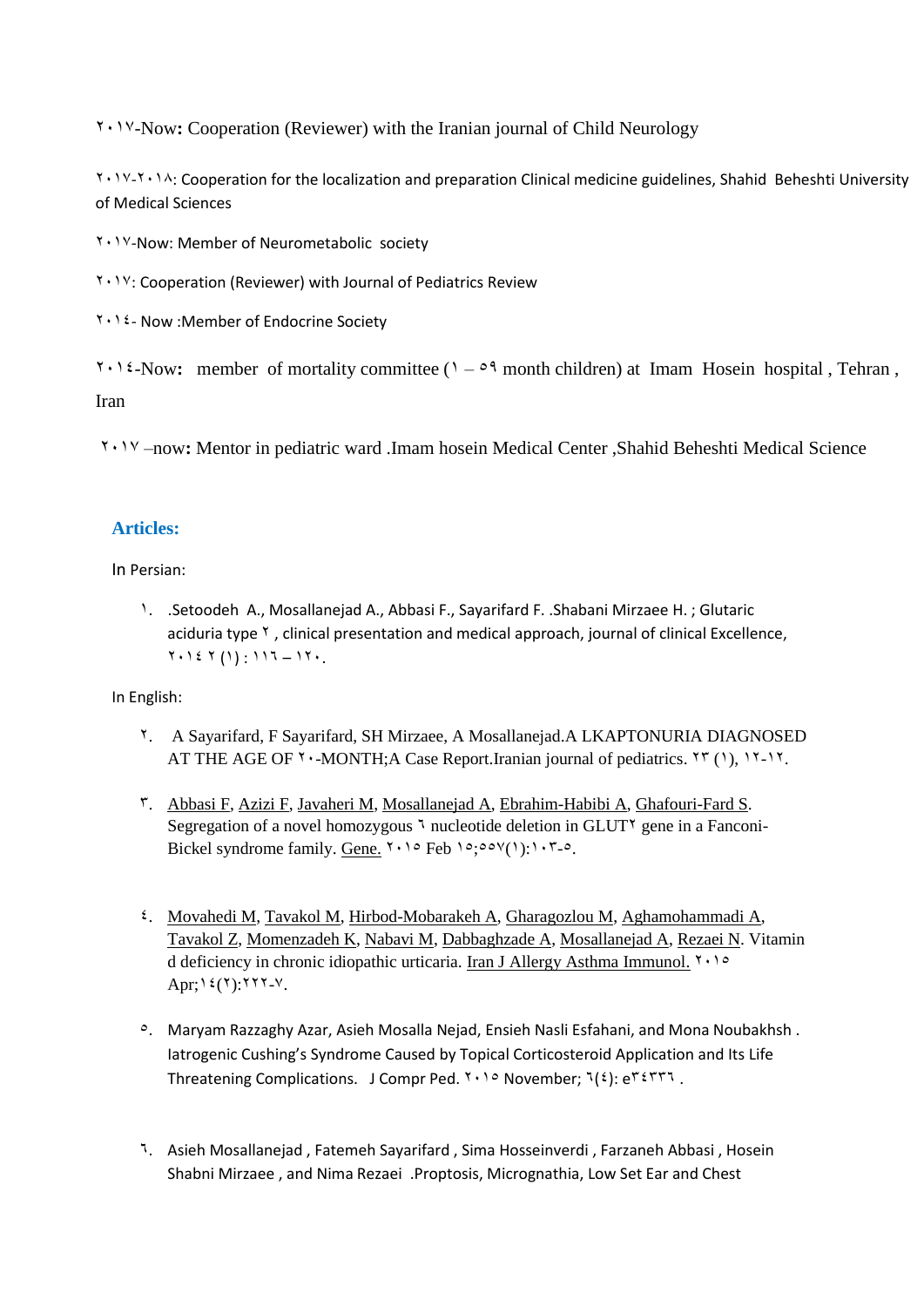7192-Now**:** Cooperation (Reviewer) with the Iranian journal of Child Neurology

 $8.681$ . The localization for the localization and preparation Clinical medicine guidelines, Shahid Beheshti University of Medical Sciences

**T** . 1 V-Now: Member of Neurometabolic society

6082: Cooperation (Reviewer) with Journal of Pediatrics Review

**T** . 1 <sup>2</sup> - Now : Member of Endocrine Society

 $\gamma \cdot \gamma$ <sup>2</sup>-Now: member of mortality committee ( $\gamma$  –  $\gamma$ <sup>4</sup> month children) at Imam Hosein hospital, Tehran, Iran

7192 –now**:** Mentor in pediatric ward .Imam hosein Medical Center ,Shahid Beheshti Medical Science

## **Articles:**

In Persian:

8. .Setoodeh A., Mosallanejad A., Abbasi F., Sayarifard F. .Shabani Mirzaee H. ; Glutaric aciduria type <sup>Y</sup>, clinical presentation and medical approach, journal of clinical Excellence,  $Y \cdot Y \in Y(Y) : Y Y - Y Y.$ 

In English:

- 7. A Sayarifard, F Sayarifard, SH Mirzaee, A Mosallanejad.A LKAPTONURIA DIAGNOSED AT THE AGE OF  $\gamma$   $\cdot$ -MONTH;A Case Report.Iranian journal of pediatrics.  $\gamma \gamma$  (1),  $\gamma \gamma$ -17.
- 2. [Abbasi F,](http://www.ncbi.nlm.nih.gov/pubmed/?term=Abbasi%20F%5BAuthor%5D&cauthor=true&cauthor_uid=25523092) [Azizi F,](http://www.ncbi.nlm.nih.gov/pubmed/?term=Azizi%20F%5BAuthor%5D&cauthor=true&cauthor_uid=25523092) [Javaheri M,](http://www.ncbi.nlm.nih.gov/pubmed/?term=Javaheri%20M%5BAuthor%5D&cauthor=true&cauthor_uid=25523092) [Mosallanejad A,](http://www.ncbi.nlm.nih.gov/pubmed/?term=Mosallanejad%20A%5BAuthor%5D&cauthor=true&cauthor_uid=25523092) [Ebrahim-Habibi A,](http://www.ncbi.nlm.nih.gov/pubmed/?term=Ebrahim-Habibi%20A%5BAuthor%5D&cauthor=true&cauthor_uid=25523092) [Ghafouri-Fard S.](http://www.ncbi.nlm.nih.gov/pubmed/?term=Ghafouri-Fard%20S%5BAuthor%5D&cauthor=true&cauthor_uid=25523092) Segregation of a novel homozygous  $\bar{1}$  nucleotide deletion in GLUT $\bar{1}$  gene in a Fanconi-Bickel syndrome family. [Gene.](http://www.ncbi.nlm.nih.gov/pubmed/?term=Fanconi+bickel+Mosallanejad)  $\frac{7.10}{P}$  Feb  $\frac{10.00 \cdot (1.11 \cdot T)}{P}$ .
- 2. [Movahedi](http://www.ncbi.nlm.nih.gov/pubmed/?term=Movahedi%20M%5BAuthor%5D&cauthor=true&cauthor_uid=25780889) M[, Tavakol M,](http://www.ncbi.nlm.nih.gov/pubmed/?term=Tavakol%20M%5BAuthor%5D&cauthor=true&cauthor_uid=25780889) [Hirbod-Mobarakeh A,](http://www.ncbi.nlm.nih.gov/pubmed/?term=Hirbod-Mobarakeh%20A%5BAuthor%5D&cauthor=true&cauthor_uid=25780889) [Gharagozlou M,](http://www.ncbi.nlm.nih.gov/pubmed/?term=Gharagozlou%20M%5BAuthor%5D&cauthor=true&cauthor_uid=25780889) [Aghamohammadi A,](http://www.ncbi.nlm.nih.gov/pubmed/?term=Aghamohammadi%20A%5BAuthor%5D&cauthor=true&cauthor_uid=25780889) [Tavakol Z,](http://www.ncbi.nlm.nih.gov/pubmed/?term=Tavakol%20Z%5BAuthor%5D&cauthor=true&cauthor_uid=25780889) [Momenzadeh K,](http://www.ncbi.nlm.nih.gov/pubmed/?term=Momenzadeh%20K%5BAuthor%5D&cauthor=true&cauthor_uid=25780889) [Nabavi M,](http://www.ncbi.nlm.nih.gov/pubmed/?term=Nabavi%20M%5BAuthor%5D&cauthor=true&cauthor_uid=25780889) [Dabbaghzade A,](http://www.ncbi.nlm.nih.gov/pubmed/?term=Dabbaghzade%20A%5BAuthor%5D&cauthor=true&cauthor_uid=25780889) [Mosallanejad A,](http://www.ncbi.nlm.nih.gov/pubmed/?term=Mosallanejad%20A%5BAuthor%5D&cauthor=true&cauthor_uid=25780889) [Rezaei N.](http://www.ncbi.nlm.nih.gov/pubmed/?term=Rezaei%20N%5BAuthor%5D&cauthor=true&cauthor_uid=25780889) Vitamin d deficiency in chronic idiopathic urticaria. [Iran J Allergy Asthma Immunol.](http://www.ncbi.nlm.nih.gov/pubmed/?term=Vit+d+Mosallanejad) 7199 Apr;  $\frac{2}{7}$  (7): 777- $V$ .
- <sup>o</sup>. Maryam Razzaghy Azar, Asieh Mosalla Nejad, Ensieh Nasli Esfahani, and Mona Noubakhsh . Iatrogenic Cushing's Syndrome Caused by Topical Corticosteroid Application and Its Life Threatening Complications. J Compr Ped.  $Y \cap S$  November;  $Y(2)$ : e<sup>r 2</sup>x77.
- 2. Asieh Mosallanejad , Fatemeh Sayarifard , Sima Hosseinverdi , Farzaneh Abbasi , Hosein Shabni Mirzaee , and Nima Rezaei .Proptosis, Micrognathia, Low Set Ear and Chest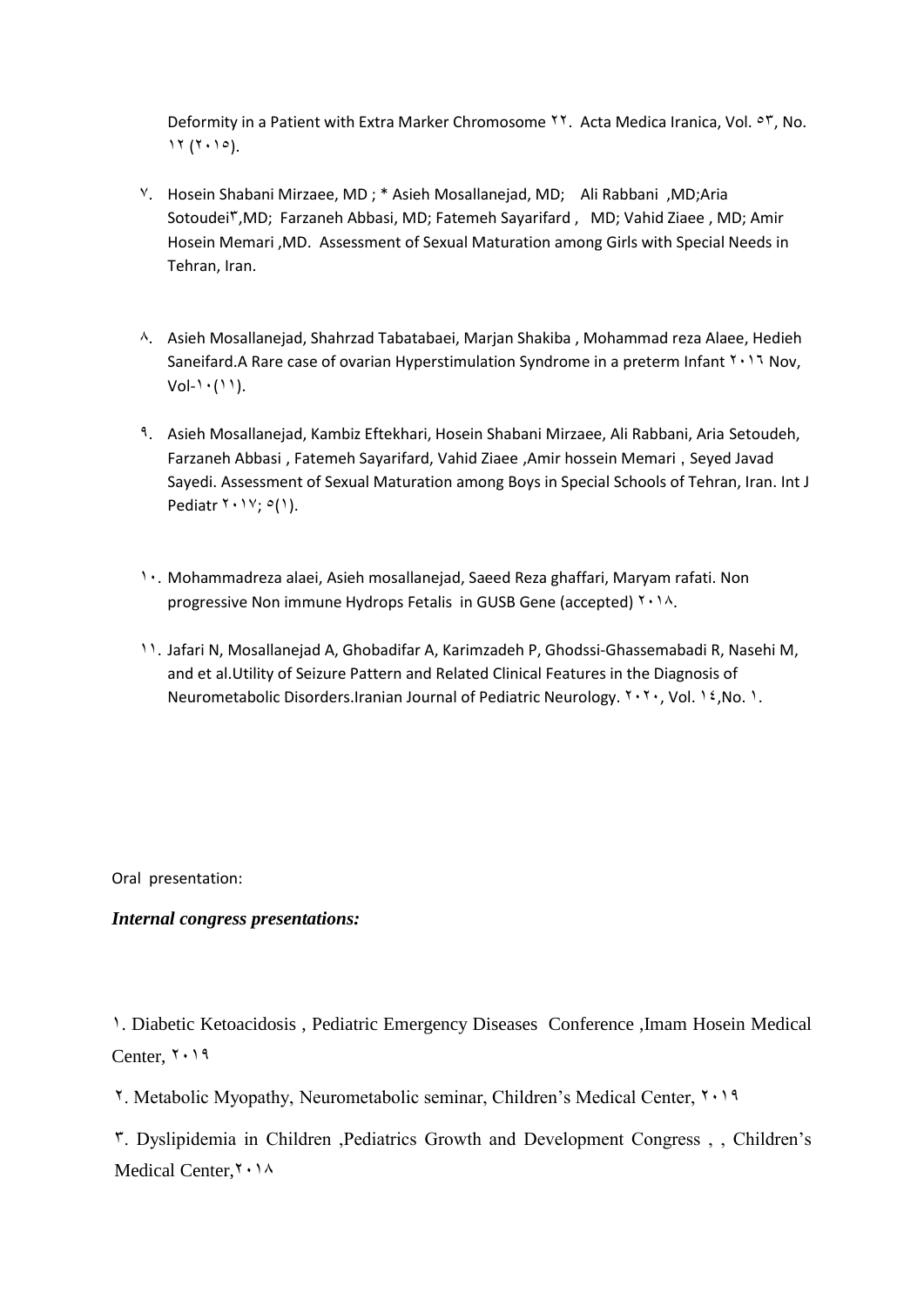Deformity in a Patient with Extra Marker Chromosome  $\lambda$ . Acta Medica Iranica, Vol.  $\circ$ r, No.  $17 (7 \cdot 10)$ .

- <sup>V</sup>. Hosein Shabani Mirzaee, MD; \* Asieh Mosallanejad, MD; Ali Rabbani , MD;Aria Sotoudei<sup>Y</sup>,MD; Farzaneh Abbasi, MD; Fatemeh Sayarifard, MD; Vahid Ziaee, MD; Amir Hosein Memari ,MD. Assessment of Sexual Maturation among Girls with Special Needs in Tehran, Iran.
- <sup>1</sup>. Asieh Mosallanejad, Shahrzad Tabatabaei, Marjan Shakiba, Mohammad reza Alaee, Hedieh Saneifard.A Rare case of ovarian Hyperstimulation Syndrome in a preterm Infant  $Y \cdot Y$  Nov,  $Vol-1 \cdot (11)$ .
- 8. Asieh Mosallanejad, Kambiz Eftekhari, Hosein Shabani Mirzaee, Ali Rabbani, Aria Setoudeh, Farzaneh Abbasi , Fatemeh Sayarifard, Vahid Ziaee ,Amir hossein Memari , Seyed Javad Sayedi. Assessment of Sexual Maturation among Boys in Special Schools of Tehran, Iran. Int J Pediatr  $Y \cdot Y$ ;  $O(1)$ .
- 1. Mohammadreza alaei, Asieh mosallanejad, Saeed Reza ghaffari, Maryam rafati. Non progressive Non immune Hydrops Fetalis in GUSB Gene (accepted)  $Y \cdot 1A$ .
- 88. Jafari N, Mosallanejad A, Ghobadifar A, Karimzadeh P, Ghodssi-Ghassemabadi R, Nasehi M, and et al.Utility of Seizure Pattern and Related Clinical Features in the Diagnosis of Neurometabolic Disorders.Iranian Journal of Pediatric Neurology.  $Y,Y$ , Vol. 12, No. 1.

Oral presentation:

#### *Internal congress presentations:*

9. Diabetic Ketoacidosis , Pediatric Emergency Diseases Conference ,Imam Hosein Medical Center,  $\mathbf{1} \cdot \mathbf{1} \cdot \mathbf{1}$ 

7. Metabolic Myopathy, Neurometabolic seminar, Children's Medical Center, 7191

2. Dyslipidemia in Children ,Pediatrics Growth and Development Congress , , Children's Medical Center, Y . 14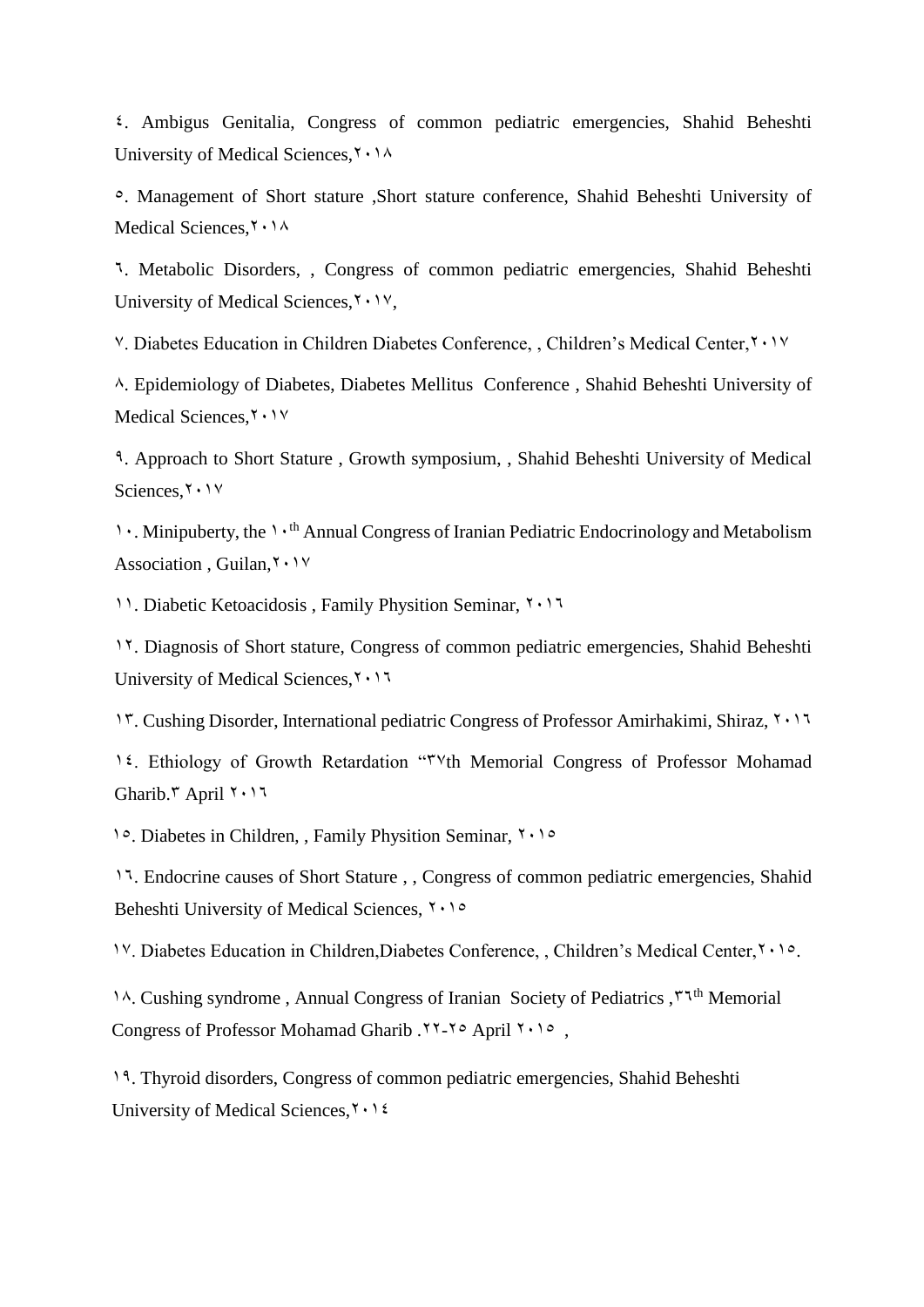2. Ambigus Genitalia, Congress of common pediatric emergencies, Shahid Beheshti University of Medical Sciences,  $\gamma \cdot \gamma$ 

9. Management of Short stature ,Short stature conference, Shahid Beheshti University of Medical Sciences, Y . 14

.. Metabolic Disorders, , Congress of common pediatric emergencies, Shahid Beheshti University of Medical Sciences,  $\mathbf{y} \cdot \mathbf{y}$ ,

<sup>V</sup>. Diabetes Education in Children Diabetes Conference, , Children's Medical Center, Y . 1V

6. Epidemiology of Diabetes, Diabetes Mellitus Conference , Shahid Beheshti University of Medical Sciences, Y . 1 Y

1. Approach to Short Stature , Growth symposium, , Shahid Beheshti University of Medical Sciences,  $\mathbf{v} \cdot \mathbf{v}$ 

1. Minipuberty, the 1<sup>th</sup> Annual Congress of Iranian Pediatric Endocrinology and Metabolism Association, Guilan, Y . 1V

11. Diabetic Ketoacidosis , Family Physition Seminar, 7117.

97. Diagnosis of Short stature, Congress of common pediatric emergencies, Shahid Beheshti University of Medical Sciences,  $\mathbf{1} \cdot \mathbf{1}$ 

17. Cushing Disorder, International pediatric Congress of Professor Amirhakimi, Shiraz, 7117.

1<sup>2</sup>. Ethiology of Growth Retardation "<sup>TV</sup>th Memorial Congress of Professor Mohamad Gharib.<sup>\*</sup> April  $1.17$ 

99. Diabetes in Children, , Family Physition Seminar, 7199

9.. Endocrine causes of Short Stature , , Congress of common pediatric emergencies, Shahid Beheshti University of Medical Sciences,  $\sqrt{10}$ 

1<sup>V</sup>. Diabetes Education in Children,Diabetes Conference, , Children's Medical Center, Y.10.

14. Cushing syndrome , Annual Congress of Iranian Society of Pediatrics ,  $\zeta^{\text{th}}$  Memorial Congress of Professor Mohamad Gharib .77-70 April 7.10,

91. Thyroid disorders, Congress of common pediatric emergencies, Shahid Beheshti University of Medical Sciences,  $\mathbf{Y} \cdot \mathbf{Y}$